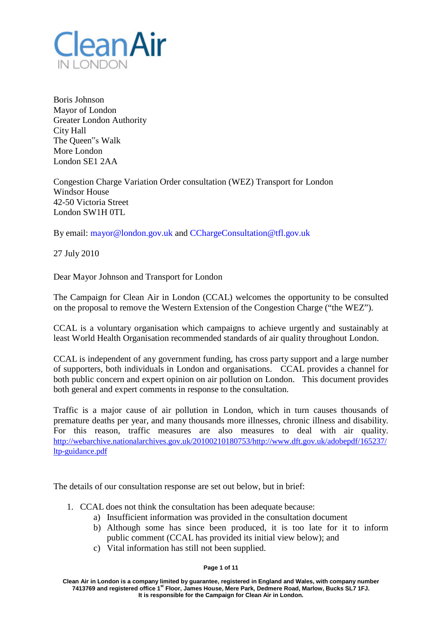

Boris Johnson Mayor of London Greater London Authority City Hall The Queen"s Walk More London London SE1 2AA

Congestion Charge Variation Order consultation (WEZ) Transport for London Windsor House 42-50 Victoria Street London SW1H 0TL

By email: [mayor@london.gov.uk](mailto:mayor@london.gov.uk) and [CChargeConsultation@tfl.gov.uk](mailto:CChargeConsultation@tfl.gov.uk)

27 July 2010

Dear Mayor Johnson and Transport for London

The Campaign for Clean Air in London (CCAL) welcomes the opportunity to be consulted on the proposal to remove the Western Extension of the Congestion Charge ("the WEZ").

CCAL is a voluntary organisation which campaigns to achieve urgently and sustainably at least World Health Organisation recommended standards of air quality throughout London.

CCAL is independent of any government funding, has cross party support and a large number of supporters, both individuals in London and organisations. CCAL provides a channel for both public concern and expert opinion on air pollution on London. This document provides both general and expert comments in response to the consultation.

Traffic is a major cause of air pollution in London, which in turn causes thousands of premature deaths per year, and many thousands more illnesses, chronic illness and disability. For this reason, traffic measures are also measures to deal with air quality. [http://webarchive.nationalarchives.gov.uk/20100210180753/http://www.dft.gov.uk/adobepdf/165237/](http://webarchive.nationalarchives.gov.uk/20100210180753/http:/www.dft.gov.uk/adobepdf/165237/ltp-guidance.pdf) [ltp-guidance.pdf](http://webarchive.nationalarchives.gov.uk/20100210180753/http:/www.dft.gov.uk/adobepdf/165237/ltp-guidance.pdf)

The details of our consultation response are set out below, but in brief:

- 1. CCAL does not think the consultation has been adequate because:
	- a) Insufficient information was provided in the consultation document
	- b) Although some has since been produced, it is too late for it to inform public comment (CCAL has provided its initial view below); and
	- c) Vital information has still not been supplied.

### **Page 1 of 11**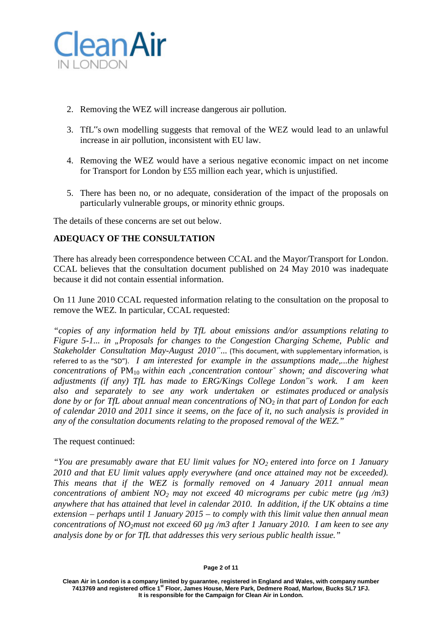

- 2. Removing the WEZ will increase dangerous air pollution.
- 3. TfL"s own modelling suggests that removal of the WEZ would lead to an unlawful increase in air pollution, inconsistent with EU law.
- 4. Removing the WEZ would have a serious negative economic impact on net income for Transport for London by £55 million each year, which is unjustified.
- 5. There has been no, or no adequate, consideration of the impact of the proposals on particularly vulnerable groups, or minority ethnic groups.

The details of these concerns are set out below.

# **ADEQUACY OF THE CONSULTATION**

There has already been correspondence between CCAL and the Mayor/Transport for London. CCAL believes that the consultation document published on 24 May 2010 was inadequate because it did not contain essential information.

On 11 June 2010 CCAL requested information relating to the consultation on the proposal to remove the WEZ. In particular, CCAL requested:

*"copies of any information held by TfL about emissions and/or assumptions relating to Figure 5-1... in "Proposals for changes to the Congestion Charging Scheme, Public and Stakeholder Consultation May-August 2010"...* (This document, with supplementary information, is referred to as the "SD"). *I am interested for example in the assumptions made,...the highest concentrations of*  $PM_{10}$  *within each "concentration contour*" *shown; and discovering what adjustments (if any) TfL has made to ERG/Kings College London"s work. I am keen also and separately to see any work undertaken or estimates produced or analysis done by or for TfL about annual mean concentrations of* NO2 *in that part of London for each of calendar 2010 and 2011 since it seems, on the face of it, no such analysis is provided in any of the consultation documents relating to the proposed removal of the WEZ."*

## The request continued:

*"You are presumably aware that EU limit values for NO2 entered into force on 1 January 2010 and that EU limit values apply everywhere (and once attained may not be exceeded). This means that if the WEZ is formally removed on 4 January 2011 annual mean concentrations of ambient NO2 may not exceed 40 micrograms per cubic metre (µg /m3) anywhere that has attained that level in calendar 2010. In addition, if the UK obtains a time extension – perhaps until 1 January 2015 – to comply with this limit value then annual mean concentrations of NO2must not exceed 60 µg /m3 after 1 January 2010. I am keen to see any analysis done by or for TfL that addresses this very serious public health issue."*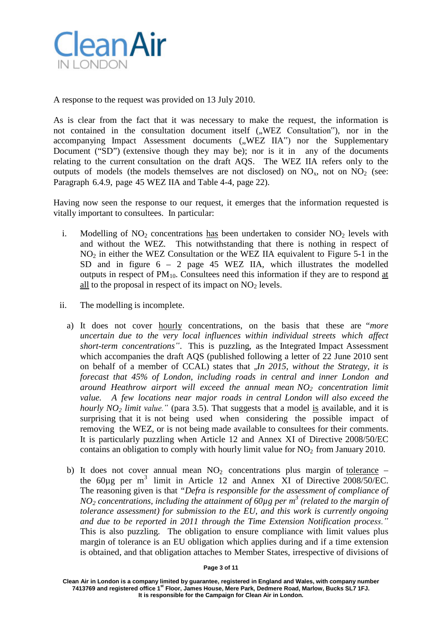

A response to the request was provided on 13 July 2010.

As is clear from the fact that it was necessary to make the request, the information is not contained in the consultation document itself ("WEZ Consultation"), nor in the accompanying Impact Assessment documents ("WEZ IIA") nor the Supplementary Document ("SD") (extensive though they may be); nor is it in any of the documents relating to the current consultation on the draft AQS. The WEZ IIA refers only to the outputs of models (the models themselves are not disclosed) on  $NO<sub>x</sub>$ , not on  $NO<sub>2</sub>$  (see: Paragraph 6.4.9, page 45 WEZ IIA and Table 4-4, page 22).

Having now seen the response to our request, it emerges that the information requested is vitally important to consultees. In particular:

- i. Modelling of  $NO<sub>2</sub>$  concentrations has been undertaken to consider  $NO<sub>2</sub>$  levels with and without the WEZ. This notwithstanding that there is nothing in respect of NO<sub>2</sub> in either the WEZ Consultation or the WEZ IIA equivalent to Figure 5-1 in the SD and in figure  $6 - 2$  page 45 WEZ IIA, which illustrates the modelled outputs in respect of  $PM_{10}$ . Consultees need this information if they are to respond at all to the proposal in respect of its impact on  $NO<sub>2</sub>$  levels.
- ii. The modelling is incomplete.
	- a) It does not cover hourly concentrations, on the basis that these are "*more uncertain due to the very local influences within individual streets which affect short-term concentrations"*. This is puzzling, as the Integrated Impact Assessment which accompanies the draft AQS (published following a letter of 22 June 2010 sent on behalf of a member of CCAL) states that  $\Box In$  2015, without the Strategy, it is *forecast that 45% of London, including roads in central and inner London and around Heathrow airport will exceed the annual mean NO2 concentration limit value. A few locations near major roads in central London will also exceed the hourly*  $NO<sub>2</sub>$  *limit value."* (para 3.5). That suggests that a model is available, and it is surprising that it is not being used when considering the possible impact of removing the WEZ, or is not being made available to consultees for their comments. It is particularly puzzling when Article 12 and Annex XI of Directive 2008/50/EC contains an obligation to comply with hourly limit value for  $NO<sub>2</sub>$  from January 2010.
	- b) It does not cover annual mean  $NO<sub>2</sub>$  concentrations plus margin of tolerance the  $60\mu$ g per m<sup>3</sup> limit in Article 12 and Annex XI of Directive 2008/50/EC. The reasoning given is that *"Defra is responsible for the assessment of compliance of NO2 concentrations, including the attainment of 60µg per m <sup>3</sup> (related to the margin of tolerance assessment) for submission to the EU, and this work is currently ongoing and due to be reported in 2011 through the Time Extension Notification process."* This is also puzzling. The obligation to ensure compliance with limit values plus margin of tolerance is an EU obligation which applies during and if a time extension is obtained, and that obligation attaches to Member States, irrespective of divisions of

#### **Page 3 of 11**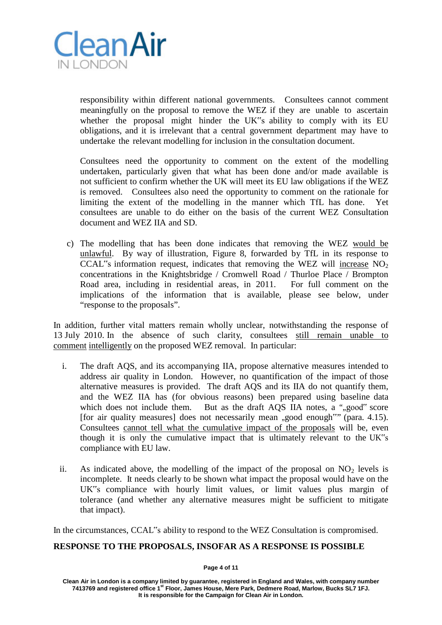

responsibility within different national governments. Consultees cannot comment meaningfully on the proposal to remove the WEZ if they are unable to ascertain whether the proposal might hinder the UK"s ability to comply with its EU obligations, and it is irrelevant that a central government department may have to undertake the relevant modelling for inclusion in the consultation document.

Consultees need the opportunity to comment on the extent of the modelling undertaken, particularly given that what has been done and/or made available is not sufficient to confirm whether the UK will meet its EU law obligations if the WEZ is removed. Consultees also need the opportunity to comment on the rationale for limiting the extent of the modelling in the manner which TfL has done. consultees are unable to do either on the basis of the current WEZ Consultation document and WEZ IIA and SD.

c) The modelling that has been done indicates that removing the WEZ would be unlawful. By way of illustration, Figure 8, forwarded by TfL in its response to CCAL"s information request, indicates that removing the WEZ will increase  $NO<sub>2</sub>$ concentrations in the Knightsbridge / Cromwell Road / Thurloe Place / Brompton Road area, including in residential areas, in 2011. For full comment on the implications of the information that is available, please see below, under "response to the proposals".

In addition, further vital matters remain wholly unclear, notwithstanding the response of 13 July 2010. In the absence of such clarity, consultees still remain unable to comment intelligently on the proposed WEZ removal. In particular:

- i. The draft AQS, and its accompanying IIA, propose alternative measures intended to address air quality in London. However, no quantification of the impact of those alternative measures is provided. The draft AQS and its IIA do not quantify them, and the WEZ IIA has (for obvious reasons) been prepared using baseline data which does not include them. But as the draft AQS IIA notes, a ",,good" score [for air quality measures] does not necessarily mean "good enough" (para. 4.15). Consultees cannot tell what the cumulative impact of the proposals will be, even though it is only the cumulative impact that is ultimately relevant to the UK"s compliance with EU law.
- ii. As indicated above, the modelling of the impact of the proposal on  $NO<sub>2</sub>$  levels is incomplete. It needs clearly to be shown what impact the proposal would have on the UK"s compliance with hourly limit values, or limit values plus margin of tolerance (and whether any alternative measures might be sufficient to mitigate that impact).

In the circumstances, CCAL"s ability to respond to the WEZ Consultation is compromised.

## **RESPONSE TO THE PROPOSALS, INSOFAR AS A RESPONSE IS POSSIBLE**

### **Page 4 of 11**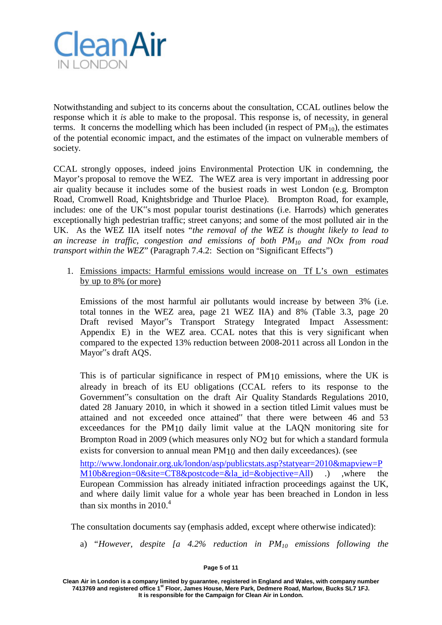

Notwithstanding and subject to its concerns about the consultation, CCAL outlines below the response which it *is* able to make to the proposal. This response is, of necessity, in general terms. It concerns the modelling which has been included (in respect of  $PM_{10}$ ), the estimates of the potential economic impact, and the estimates of the impact on vulnerable members of society.

CCAL strongly opposes, indeed joins Environmental Protection UK in condemning, the Mayor's proposal to remove the WEZ. The WEZ area is very important in addressing poor air quality because it includes some of the busiest roads in west London (e.g. Brompton Road, Cromwell Road, Knightsbridge and Thurloe Place). Brompton Road, for example, includes: one of the UK"s most popular tourist destinations (i.e. Harrods) which generates exceptionally high pedestrian traffic; street canyons; and some of the most polluted air in the UK. As the WEZ IIA itself notes "*the removal of the WEZ is thought likely to lead to an increase in traffic, congestion and emissions of both PM10 and NOx from road transport within the WEZ*" (Paragraph 7.4.2: Section on "Significant Effects")

1. Emissions impacts: Harmful emissions would increase on Tf L's own estimates by up to 8% (or more)

Emissions of the most harmful air pollutants would increase by between 3% (i.e. total tonnes in the WEZ area, page 21 WEZ IIA) and 8% (Table 3.3, page 20 Draft revised Mayor"s Transport Strategy Integrated Impact Assessment: Appendix E) in the WEZ area. CCAL notes that this is very significant when compared to the expected 13% reduction between 2008-2011 across all London in the Mayor"s draft AQS.

This is of particular significance in respect of PM10 emissions, where the UK is already in breach of its EU obligations (CCAL refers to its response to the Government"s consultation on the draft Air Quality Standards Regulations 2010, dated 28 January 2010, in which it showed in a section titled Limit values must be attained and not exceeded once attained" that there were between 46 and 53 exceedances for the PM10 daily limit value at the LAQN monitoring site for Brompton Road in 2009 (which measures only NO2 but for which a standard formula exists for conversion to annual mean PM10 and then daily exceedances). (see

[http://www.londonair.org.uk/london/asp/publicstats.asp?statyear=2010&mapview=P](http://www.londonair.org.uk/london/asp/publicstats.asp?statyear=2010&mapview=PM10b®ion=0&site=CT8&postcode=&la_id=&objective=All) [M10b&region=0&site=CT8&postcode=&la\\_id=&objective=All\)](http://www.londonair.org.uk/london/asp/publicstats.asp?statyear=2010&mapview=PM10b®ion=0&site=CT8&postcode=&la_id=&objective=All) .) ,where the European Commission has already initiated infraction proceedings against the UK, and where daily limit value for a whole year has been breached in London in less than six months in 2010. 4

The consultation documents say (emphasis added, except where otherwise indicated):

a) *"However, despite [a 4.2% reduction in PM10 emissions following the*

#### **Page 5 of 11**

**Clean Air in London is a company limited by guarantee, registered in England and Wales, with company number 7413769 and registered office 1st Floor, James House, Mere Park, Dedmere Road, Marlow, Bucks SL7 1FJ. It is responsible for the Campaign for Clean Air in London.**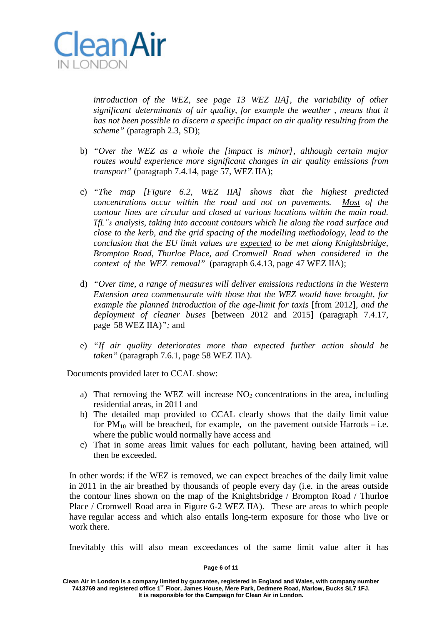

*introduction of the WEZ, see page 13 WEZ IIA], the variability of other significant determinants of air quality, for example the weather , means that it has not been possible to discern a specific impact on air quality resulting from the scheme"* (paragraph 2.3, SD);

- b) *"Over the WEZ as a whole the [impact is minor], although certain major routes would experience more significant changes in air quality emissions from transport"* (paragraph 7.4.14, page 57, WEZ IIA);
- c) *"The map [Figure 6.2, WEZ IIA] shows that the highest predicted concentrations occur within the road and not on pavements. Most of the contour lines are circular and closed at various locations within the main road. TfL"s analysis, taking into account contours which lie along the road surface and close to the kerb, and the grid spacing of the modelling methodology, lead to the conclusion that the EU limit values are expected to be met along Knightsbridge, Brompton Road, Thurloe Place, and Cromwell Road when considered in the context of the WEZ removal"* (paragraph 6.4.13, page 47 WEZ IIA);
- d) *"Over time, a range of measures will deliver emissions reductions in the Western Extension area commensurate with those that the WEZ would have brought, for example the planned introduction of the age-limit for taxis* [from 2012]*, and the deployment of cleaner buses* [between 2012 and 2015] (paragraph 7.4.17, page 58 WEZ IIA)*";* and
- e) *"If air quality deteriorates more than expected further action should be taken"* (paragraph 7.6.1, page 58 WEZ IIA).

Documents provided later to CCAL show:

- a) That removing the WEZ will increase  $NO<sub>2</sub>$  concentrations in the area, including residential areas, in 2011 and
- b) The detailed map provided to CCAL clearly shows that the daily limit value for  $PM_{10}$  will be breached, for example, on the pavement outside Harrods – i.e. where the public would normally have access and
- c) That in some areas limit values for each pollutant, having been attained, will then be exceeded.

In other words: if the WEZ is removed, we can expect breaches of the daily limit value in 2011 in the air breathed by thousands of people every day (i.e. in the areas outside the contour lines shown on the map of the Knightsbridge / Brompton Road / Thurloe Place / Cromwell Road area in Figure 6-2 WEZ IIA). These are areas to which people have regular access and which also entails long-term exposure for those who live or work there.

Inevitably this will also mean exceedances of the same limit value after it has

#### **Page 6 of 11**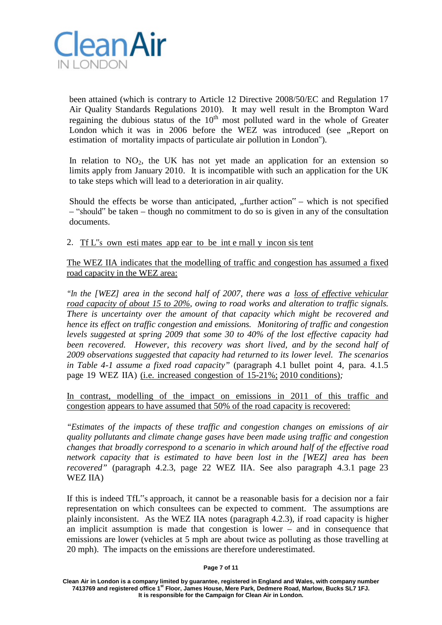

been attained (which is contrary to Article 12 Directive 2008/50/EC and Regulation 17 Air Quality Standards Regulations 2010). It may well result in the Brompton Ward regaining the dubious status of the  $10<sup>th</sup>$  most polluted ward in the whole of Greater London which it was in 2006 before the WEZ was introduced (see "Report on estimation of mortality impacts of particulate air pollution in London").

In relation to  $NO<sub>2</sub>$ , the UK has not yet made an application for an extension so limits apply from January 2010. It is incompatible with such an application for the UK to take steps which will lead to a deterioration in air quality.

Should the effects be worse than anticipated,  $\pi$ , further action $\pi$  – which is not specified – "should" be taken – though no commitment to do so is given in any of the consultation documents.

2. Tf L"s own esti mates app ear to be int e rnall y incon sis tent

The WEZ IIA indicates that the modelling of traffic and congestion has assumed a fixed road capacity in the WEZ area:

*"In the [WEZ] area in the second half of 2007, there was a loss of effective vehicular road capacity of about 15 to 20%, owing to road works and alteration to traffic signals. There is uncertainty over the amount of that capacity which might be recovered and hence its effect on traffic congestion and emissions. Monitoring of traffic and congestion levels suggested at spring 2009 that some 30 to 40% of the lost effective capacity had been recovered. However, this recovery was short lived, and by the second half of 2009 observations suggested that capacity had returned to its lower level. The scenarios in Table 4-1 assume a fixed road capacity"* (paragraph 4.1 bullet point 4, para. 4.1.5 page 19 WEZ IIA) (i.e. increased congestion of 15-21%; 2010 conditions)*;*

In contrast, modelling of the impact on emissions in 2011 of this traffic and congestion appears to have assumed that 50% of the road capacity is recovered:

*"Estimates of the impacts of these traffic and congestion changes on emissions of air quality pollutants and climate change gases have been made using traffic and congestion changes that broadly correspond to a scenario in which around half of the effective road network capacity that is estimated to have been lost in the [WEZ] area has been recovered"* (paragraph 4.2.3, page 22 WEZ IIA. See also paragraph 4.3.1 page 23 WEZ IIA)

If this is indeed TfL"s approach, it cannot be a reasonable basis for a decision nor a fair representation on which consultees can be expected to comment. The assumptions are plainly inconsistent. As the WEZ IIA notes (paragraph 4.2.3), if road capacity is higher an implicit assumption is made that congestion is lower – and in consequence that emissions are lower (vehicles at 5 mph are about twice as polluting as those travelling at 20 mph). The impacts on the emissions are therefore underestimated.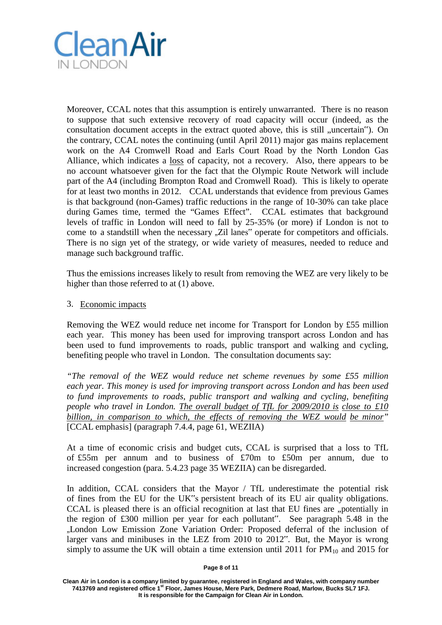

Moreover, CCAL notes that this assumption is entirely unwarranted. There is no reason to suppose that such extensive recovery of road capacity will occur (indeed, as the consultation document accepts in the extract quoted above, this is still "uncertain"). On the contrary, CCAL notes the continuing (until April 2011) major gas mains replacement work on the A4 Cromwell Road and Earls Court Road by the North London Gas Alliance, which indicates a loss of capacity, not a recovery. Also, there appears to be no account whatsoever given for the fact that the Olympic Route Network will include part of the A4 (including Brompton Road and Cromwell Road). This is likely to operate for at least two months in 2012. CCAL understands that evidence from previous Games is that background (non-Games) traffic reductions in the range of 10-30% can take place during Games time, termed the "Games Effect". CCAL estimates that background levels of traffic in London will need to fall by 25-35% (or more) if London is not to come to a standstill when the necessary "Zil lanes" operate for competitors and officials. There is no sign yet of the strategy, or wide variety of measures, needed to reduce and manage such background traffic.

Thus the emissions increases likely to result from removing the WEZ are very likely to be higher than those referred to at (1) above.

## 3. Economic impacts

Removing the WEZ would reduce net income for Transport for London by £55 million each year. This money has been used for improving transport across London and has been used to fund improvements to roads, public transport and walking and cycling, benefiting people who travel in London. The consultation documents say:

*"The removal of the WEZ would reduce net scheme revenues by some £55 million each year. This money is used for improving transport across London and has been used to fund improvements to roads, public transport and walking and cycling, benefiting people who travel in London. The overall budget of TfL for 2009/2010 is close to £10 billion, in comparison to which, the effects of removing the WEZ would be minor"* [CCAL emphasis] (paragraph 7.4.4, page 61, WEZIIA)

At a time of economic crisis and budget cuts, CCAL is surprised that a loss to TfL of £55m per annum and to business of £70m to £50m per annum, due to increased congestion (para. 5.4.23 page 35 WEZIIA) can be disregarded.

In addition, CCAL considers that the Mayor / TfL underestimate the potential risk of fines from the EU for the UK"s persistent breach of its EU air quality obligations. CCAL is pleased there is an official recognition at last that EU fines are "potentially in the region of £300 million per year for each pollutant". See paragraph 5.48 in the "London Low Emission Zone Variation Order: Proposed deferral of the inclusion of larger vans and minibuses in the LEZ from 2010 to 2012". But, the Mayor is wrong simply to assume the UK will obtain a time extension until 2011 for  $PM_{10}$  and 2015 for

#### **Page 8 of 11**

**Clean Air in London is a company limited by guarantee, registered in England and Wales, with company number 7413769 and registered office 1st Floor, James House, Mere Park, Dedmere Road, Marlow, Bucks SL7 1FJ. It is responsible for the Campaign for Clean Air in London.**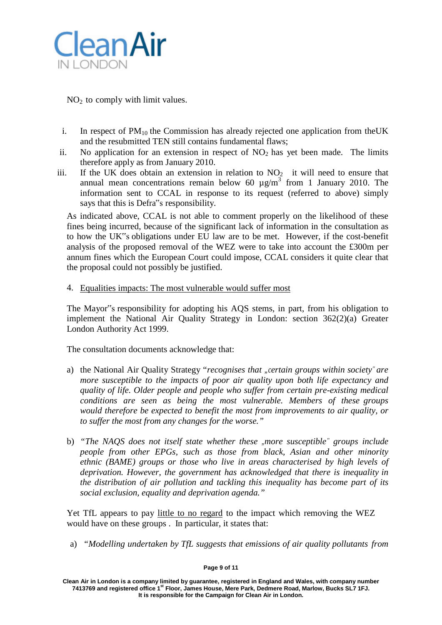

 $NO<sub>2</sub>$  to comply with limit values.

- i. In respect of  $PM_{10}$  the Commission has already rejected one application from theUK and the resubmitted TEN still contains fundamental flaws;
- ii. No application for an extension in respect of  $NO<sub>2</sub>$  has yet been made. The limits therefore apply as from January 2010.
- iii. If the UK does obtain an extension in relation to  $NO<sub>2</sub>$  it will need to ensure that annual mean concentrations remain below 60  $\mu$ g/m<sup>3</sup> from 1 January 2010. The information sent to CCAL in response to its request (referred to above) simply says that this is Defra"s responsibility.

As indicated above, CCAL is not able to comment properly on the likelihood of these fines being incurred, because of the significant lack of information in the consultation as to how the UK"s obligations under EU law are to be met. However, if the cost-benefit analysis of the proposed removal of the WEZ were to take into account the £300m per annum fines which the European Court could impose, CCAL considers it quite clear that the proposal could not possibly be justified.

4. Equalities impacts: The most vulnerable would suffer most

The Mayor"s responsibility for adopting his AQS stems, in part, from his obligation to implement the National Air Quality Strategy in London: section 362(2)(a) Greater London Authority Act 1999.

The consultation documents acknowledge that:

- a) the National Air Quality Strategy "*recognises that* "*certain groups within society*" *are more susceptible to the impacts of poor air quality upon both life expectancy and quality of life. Older people and people who suffer from certain pre-existing medical conditions are seen as being the most vulnerable. Members of these groups would therefore be expected to benefit the most from improvements to air quality, or to suffer the most from any changes for the worse."*
- b) *"The NAQS does not itself state whether these "more susceptible" groups include people from other EPGs, such as those from black, Asian and other minority ethnic (BAME) groups or those who live in areas characterised by high levels of deprivation. However, the government has acknowledged that there is inequality in the distribution of air pollution and tackling this inequality has become part of its social exclusion, equality and deprivation agenda."*

Yet TfL appears to pay little to no regard to the impact which removing the WEZ would have on these groups . In particular, it states that:

a) *"Modelling undertaken by TfL suggests that emissions of air quality pollutants from*

#### **Page 9 of 11**

**Clean Air in London is a company limited by guarantee, registered in England and Wales, with company number 7413769 and registered office 1st Floor, James House, Mere Park, Dedmere Road, Marlow, Bucks SL7 1FJ. It is responsible for the Campaign for Clean Air in London.**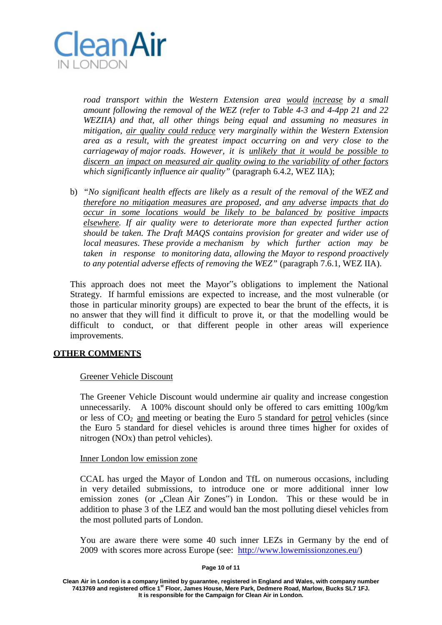

*road transport within the Western Extension area would increase by a small amount following the removal of the WEZ (refer to Table 4-3 and 4-4pp 21 and 22 WEZIIA) and that, all other things being equal and assuming no measures in mitigation, air quality could reduce very marginally within the Western Extension area as a result, with the greatest impact occurring on and very close to the carriageway of major roads. However, it is unlikely that it would be possible to discern an impact on measured air quality owing to the variability of other factors which significantly influence air quality"* (paragraph 6.4.2, WEZ IIA);

b) *"No significant health effects are likely as a result of the removal of the WEZ and therefore no mitigation measures are proposed, and any adverse impacts that do occur in some locations would be likely to be balanced by positive impacts elsewhere. If air quality were to deteriorate more than expected further action should be taken. The Draft MAQS contains provision for greater and wider use of local measures. These provide a mechanism by which further action may be taken in response to monitoring data, allowing the Mayor to respond proactively to any potential adverse effects of removing the WEZ"* (paragraph 7.6.1, WEZ IIA).

This approach does not meet the Mayor"s obligations to implement the National Strategy. If harmful emissions are expected to increase, and the most vulnerable (or those in particular minority groups) are expected to bear the brunt of the effects, it is no answer that they will find it difficult to prove it, or that the modelling would be difficult to conduct, or that different people in other areas will experience improvements.

## **OTHER COMMENTS**

## Greener Vehicle Discount

The Greener Vehicle Discount would undermine air quality and increase congestion unnecessarily. A 100% discount should only be offered to cars emitting 100g/km or less of  $CO<sub>2</sub>$  and meeting or beating the Euro 5 standard for petrol vehicles (since the Euro 5 standard for diesel vehicles is around three times higher for oxides of nitrogen (NOx) than petrol vehicles).

## Inner London low emission zone

CCAL has urged the Mayor of London and TfL on numerous occasions, including in very detailed submissions, to introduce one or more additional inner low emission zones (or "Clean Air Zones") in London. This or these would be in addition to phase 3 of the LEZ and would ban the most polluting diesel vehicles from the most polluted parts of London.

You are aware there were some 40 such inner LEZs in Germany by the end of 2009 with scores more across Europe (see: [http://www.lowemissionzones.eu/\)](http://www.lowemissionzones.eu/)

### **Page 10 of 11**